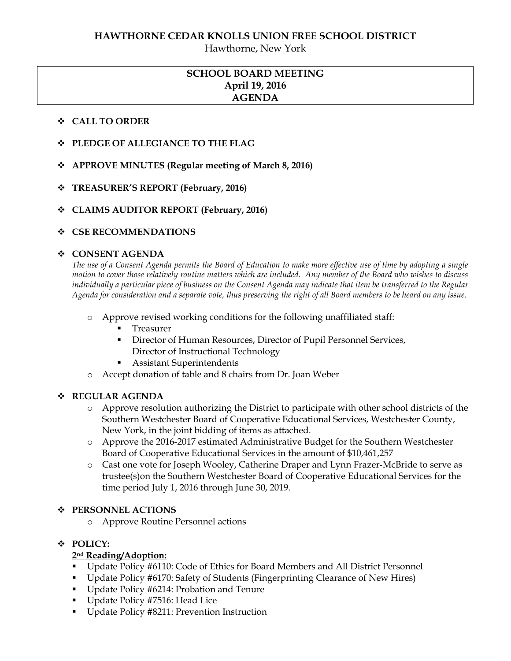Hawthorne, New York

# **SCHOOL BOARD MEETING April 19, 2016 AGENDA**

## **CALL TO ORDER**

- **PLEDGE OF ALLEGIANCE TO THE FLAG**
- **APPROVE MINUTES (Regular meeting of March 8, 2016)**
- **TREASURER'S REPORT (February, 2016)**
- **CLAIMS AUDITOR REPORT (February, 2016)**

## **CSE RECOMMENDATIONS**

#### **CONSENT AGENDA**

*The use of a Consent Agenda permits the Board of Education to make more effective use of time by adopting a single motion to cover those relatively routine matters which are included. Any member of the Board who wishes to discuss individually a particular piece of business on the Consent Agenda may indicate that item be transferred to the Regular Agenda for consideration and a separate vote, thus preserving the right of all Board members to be heard on any issue.* 

- o Approve revised working conditions for the following unaffiliated staff:
	- Treasurer
	- Director of Human Resources, Director of Pupil Personnel Services, Director of Instructional Technology
	- Assistant Superintendents
- o Accept donation of table and 8 chairs from Dr. Joan Weber

#### **REGULAR AGENDA**

- o Approve resolution authorizing the District to participate with other school districts of the Southern Westchester Board of Cooperative Educational Services, Westchester County, New York, in the joint bidding of items as attached.
- o Approve the 2016-2017 estimated Administrative Budget for the Southern Westchester Board of Cooperative Educational Services in the amount of \$10,461,257
- o Cast one vote for Joseph Wooley, Catherine Draper and Lynn Frazer-McBride to serve as trustee(s)on the Southern Westchester Board of Cooperative Educational Services for the time period July 1, 2016 through June 30, 2019.

## **PERSONNEL ACTIONS**

o Approve Routine Personnel actions

# **POLICY:**

# **2nd Reading/Adoption:**

- Update Policy #6110: Code of Ethics for Board Members and All District Personnel
- Update Policy #6170: Safety of Students (Fingerprinting Clearance of New Hires)
- Update Policy #6214: Probation and Tenure
- Update Policy #7516: Head Lice
- Update Policy #8211: Prevention Instruction